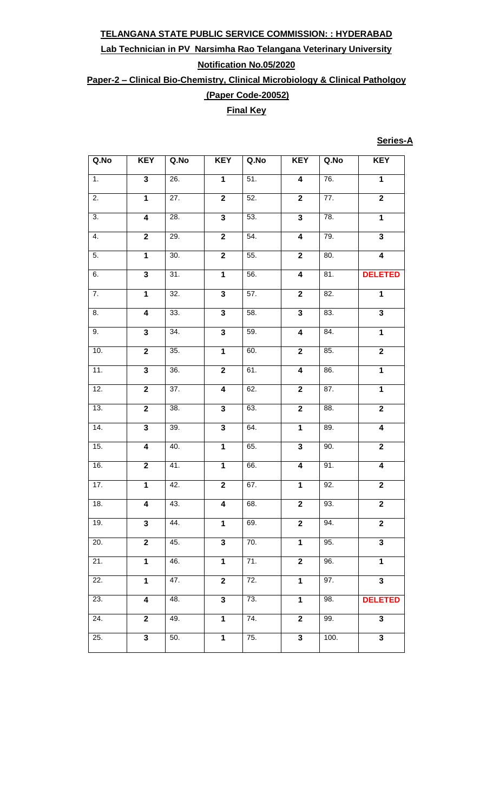### **Lab Technician in PV Narsimha Rao Telangana Veterinary University Notification No.05/2020**

**Paper-2 – Clinical Bio-Chemistry, Clinical Microbiology & Clinical Patholgoy**

**(Paper Code-20052)** 

# **Final Key**

#### **Series-A**

| Q.No             | <b>KEY</b>              | Q.No              | <b>KEY</b>              | Q.No              | <b>KEY</b>              | Q.No              | <b>KEY</b>              |
|------------------|-------------------------|-------------------|-------------------------|-------------------|-------------------------|-------------------|-------------------------|
| $\overline{1}$ . | $\overline{\mathbf{3}}$ | 26.               | $\overline{\mathbf{1}}$ | 51.               | $\overline{4}$          | 76.               | $\overline{\mathbf{1}}$ |
| 2.               | $\mathbf{1}$            | 27.               | $\overline{\mathbf{2}}$ | 52.               | $\overline{\mathbf{2}}$ | 77.               | $\overline{2}$          |
| $\overline{3}$ . | $\overline{\mathbf{4}}$ | 28.               | $\overline{\mathbf{3}}$ | 53.               | $\overline{\mathbf{3}}$ | 78.               | $\overline{1}$          |
| 4.               | $\mathbf 2$             | 29.               | $\mathbf 2$             | 54.               | $\overline{\mathbf{4}}$ | 79.               | $\overline{\mathbf{3}}$ |
| 5.               | $\overline{\mathbf{1}}$ | 30.               | $\overline{\mathbf{2}}$ | 55.               | $\overline{\mathbf{2}}$ | 80.               | $\overline{4}$          |
| $\overline{6}$ . | $\overline{\mathbf{3}}$ | 31.               | $\overline{\mathbf{1}}$ | 56.               | $\overline{4}$          | $\overline{81}$ . | <b>DELETED</b>          |
| 7.               | $\mathbf 1$             | $\overline{32}$ . | $\overline{\mathbf{3}}$ | 57.               | $\overline{\mathbf{2}}$ | $\overline{82}$ . | $\mathbf{1}$            |
| 8.               | $\overline{\mathbf{4}}$ | 33.               | $\overline{\mathbf{3}}$ | 58.               | $\overline{\mathbf{3}}$ | $\overline{83}$ . | $\overline{\mathbf{3}}$ |
| 9.               | $\overline{\mathbf{3}}$ | 34.               | $\overline{\mathbf{3}}$ | 59.               | $\overline{\mathbf{4}}$ | 84.               | $\overline{\mathbf{1}}$ |
| 10.              | $\overline{\mathbf{2}}$ | 35.               | $\overline{\mathbf{1}}$ | 60.               | $\overline{2}$          | 85.               | $\overline{2}$          |
| 11.              | $\overline{\mathbf{3}}$ | 36.               | $\overline{2}$          | 61.               | $\overline{\mathbf{4}}$ | 86.               | $\overline{1}$          |
| 12.              | $\overline{\mathbf{2}}$ | 37.               | $\overline{\mathbf{4}}$ | 62.               | $\overline{2}$          | 87.               | $\overline{1}$          |
| 13.              | $\overline{2}$          | 38.               | $\overline{\mathbf{3}}$ | 63.               | $\overline{2}$          | 88.               | $\overline{2}$          |
| 14.              | $\overline{\mathbf{3}}$ | 39.               | $\overline{\mathbf{3}}$ | 64.               | $\overline{1}$          | 89.               | $\overline{\mathbf{4}}$ |
| 15.              | $\overline{4}$          | 40.               | $\overline{\mathbf{1}}$ | 65.               | $\overline{\mathbf{3}}$ | 90.               | $\overline{2}$          |
| 16.              | $\overline{\mathbf{2}}$ | 41.               | $\mathbf{1}$            | 66.               | $\overline{4}$          | 91.               | $\overline{4}$          |
| 17.              | $\overline{1}$          | 42.               | $\overline{2}$          | 67.               | $\mathbf 1$             | 92.               | $\overline{2}$          |
| 18.              | $\overline{\mathbf{4}}$ | 43.               | $\overline{\mathbf{4}}$ | 68.               | $\mathbf 2$             | 93.               | $\overline{2}$          |
| 19.              | 3                       | 44.               | $\mathbf 1$             | 69.               | $\mathbf 2$             | 94.               | $\overline{\mathbf{2}}$ |
| 20.              | $\overline{2}$          | 45.               | $\overline{\mathbf{3}}$ | 70.               | $\overline{1}$          | 95.               | $\overline{\mathbf{3}}$ |
| 21.              | $\mathbf 1$             | 46.               | $\mathbf{1}$            | 71.               | $\overline{\mathbf{2}}$ | 96.               | $\overline{1}$          |
| 22.              | $\mathbf 1$             | 47.               | $\mathbf{2}$            | 72.               | $\mathbf{1}$            | 97.               | $\overline{\mathbf{3}}$ |
| 23.              | 4                       | 48.               | $\overline{\mathbf{3}}$ | 73.               | $\mathbf 1$             | 98.               | <b>DELETED</b>          |
| 24.              | $\mathbf 2$             | 49.               | $\mathbf 1$             | $\overline{74}$ . | $\mathbf 2$             | 99.               | $\overline{\mathbf{3}}$ |
| 25.              | $\overline{\mathbf{3}}$ | 50.               | $\mathbf 1$             | 75.               | $\overline{\mathbf{3}}$ | 100.              | 3                       |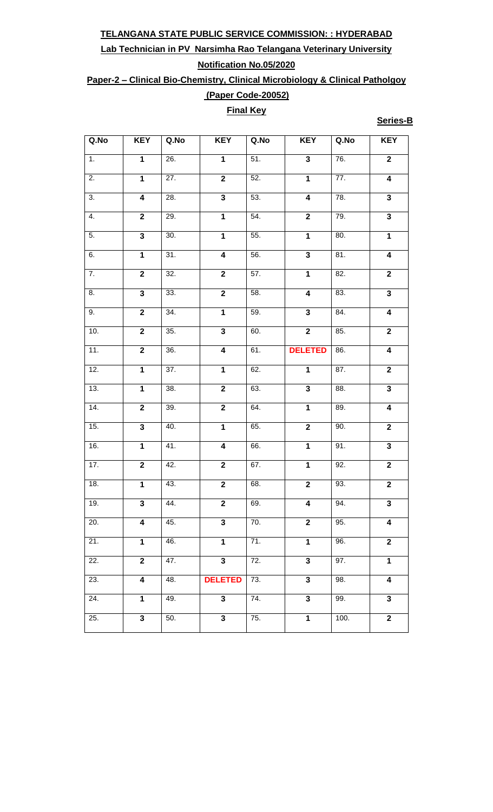## **Lab Technician in PV Narsimha Rao Telangana Veterinary University Notification No.05/2020**

**Paper-2 – Clinical Bio-Chemistry, Clinical Microbiology & Clinical Patholgoy (Paper Code-20052)** 

### **Final Key**

**Series-B**

| Q.No              | <b>KEY</b>              | Q.No              | <b>KEY</b>              | Q.No | <b>KEY</b>              | Q.No              | <b>KEY</b>              |
|-------------------|-------------------------|-------------------|-------------------------|------|-------------------------|-------------------|-------------------------|
| $\overline{1}$ .  | $\overline{1}$          | 26.               | $\overline{1}$          | 51.  | $\overline{\mathbf{3}}$ | 76.               | $\overline{2}$          |
| $\overline{2}$ .  | $\mathbf{1}$            | 27.               | $\overline{2}$          | 52.  | $\overline{\mathbf{1}}$ | 77.               | $\overline{4}$          |
| $\overline{3}$ .  | $\overline{4}$          | 28.               | $\overline{\mathbf{3}}$ | 53.  | $\overline{4}$          | 78.               | $\overline{\mathbf{3}}$ |
| 4.                | $\overline{2}$          | 29.               | $\overline{1}$          | 54.  | $\overline{2}$          | 79.               | $\overline{\mathbf{3}}$ |
| $\overline{5}$ .  | $\overline{\mathbf{3}}$ | 30.               | $\overline{\mathbf{1}}$ | 55.  | $\mathbf{1}$            | 80.               | $\mathbf 1$             |
| 6.                | $\overline{1}$          | 31.               | $\overline{\mathbf{4}}$ | 56.  | $\overline{\mathbf{3}}$ | 81.               | $\overline{4}$          |
| $\overline{7}$ .  | $\overline{2}$          | 32.               | $\overline{2}$          | 57.  | $\overline{1}$          | 82.               | $\overline{2}$          |
| 8.                | $\overline{\mathbf{3}}$ | 33.               | $\overline{2}$          | 58.  | $\overline{4}$          | 83.               | $\overline{\mathbf{3}}$ |
| 9.                | $\overline{2}$          | 34.               | $\overline{1}$          | 59.  | $\overline{\mathbf{3}}$ | 84.               | $\overline{\mathbf{4}}$ |
| 10.               | $\overline{2}$          | 35.               | $\overline{\mathbf{3}}$ | 60.  | $\overline{2}$          | 85.               | $\overline{2}$          |
| 11.               | $\overline{2}$          | 36.               | $\overline{\mathbf{4}}$ | 61.  | <b>DELETED</b>          | 86.               | $\overline{\mathbf{4}}$ |
| 12.               | $\overline{1}$          | 37.               | $\overline{1}$          | 62.  | $\overline{1}$          | 87.               | $\overline{2}$          |
| 13.               | $\overline{1}$          | 38.               | $\overline{2}$          | 63.  | $\overline{\mathbf{3}}$ | 88.               | 3                       |
| 14.               | $\overline{2}$          | 39.               | $\overline{2}$          | 64.  | $\mathbf 1$             | 89.               | $\overline{\mathbf{4}}$ |
| 15.               | $\overline{\mathbf{3}}$ | 40.               | $\overline{\mathbf{1}}$ | 65.  | $\overline{2}$          | 90.               | $\overline{2}$          |
| 16.               | $\mathbf 1$             | 41.               | $\overline{\mathbf{4}}$ | 66.  | $\mathbf 1$             | $\overline{91}$ . | $\overline{\mathbf{3}}$ |
| $\overline{17}$ . | $\overline{2}$          | 42.               | $\overline{\mathbf{2}}$ | 67.  | $\mathbf 1$             | 92.               | $\overline{\mathbf{2}}$ |
| 18.               | $\overline{1}$          | 43.               | $\overline{2}$          | 68.  | $\overline{\mathbf{2}}$ | 93.               | $\overline{2}$          |
| 19.               | $\mathbf{3}$            | 44.               | $\overline{\mathbf{2}}$ | 69.  | $\overline{4}$          | 94.               | 3                       |
| 20.               | $\overline{\mathbf{4}}$ | 45.               | $\overline{\mathbf{3}}$ | 70.  | $\overline{2}$          | 95.               | $\overline{\mathbf{4}}$ |
| 21.               | $\mathbf 1$             | 46.               | $\overline{1}$          | 71.  | $\overline{1}$          | 96.               | $\overline{2}$          |
| 22.               | $\overline{2}$          | 47.               | $\overline{\mathbf{3}}$ | 72.  | $\overline{\mathbf{3}}$ | 97.               | $\overline{1}$          |
| 23.               | $\overline{\mathbf{4}}$ | 48.               | <b>DELETED</b>          | 73.  | $\overline{\mathbf{3}}$ | 98.               | $\overline{4}$          |
| 24.               | $\mathbf 1$             | 49.               | $\overline{\mathbf{3}}$ | 74.  | $\overline{\mathbf{3}}$ | 99.               | $\overline{\mathbf{3}}$ |
| 25.               | $\overline{\mathbf{3}}$ | $\overline{50}$ . | $\overline{\mathbf{3}}$ | 75.  | $\overline{1}$          | 100.              | $\overline{2}$          |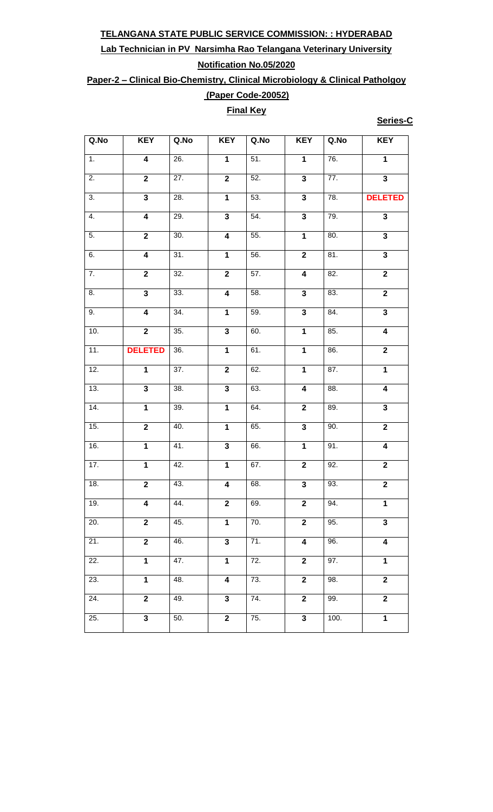## **Lab Technician in PV Narsimha Rao Telangana Veterinary University Notification No.05/2020**

**Paper-2 – Clinical Bio-Chemistry, Clinical Microbiology & Clinical Patholgoy**

### **(Paper Code-20052) Final Key**

**Series-C**

| Q.No              | <b>KEY</b>              | Q.No              | <b>KEY</b>              | Q.No              | <b>KEY</b>              | Q.No              | <b>KEY</b>              |
|-------------------|-------------------------|-------------------|-------------------------|-------------------|-------------------------|-------------------|-------------------------|
| $\overline{1}$ .  | $\overline{4}$          | 26.               | $\overline{1}$          | 51.               | $\overline{1}$          | $\overline{76}$ . | $\overline{\mathbf{1}}$ |
| 2.                | $\mathbf{2}$            | 27.               | $\mathbf 2$             | 52.               | $\mathbf{3}$            | 77.               | $\overline{\mathbf{3}}$ |
| $\overline{3}$ .  | $\overline{\mathbf{3}}$ | 28.               | $\overline{\mathbf{1}}$ | 53.               | $\overline{\mathbf{3}}$ | 78.               | <b>DELETED</b>          |
| 4.                | $\overline{\mathbf{4}}$ | 29.               | $\overline{\mathbf{3}}$ | 54.               | $\overline{\mathbf{3}}$ | 79.               | $\overline{\mathbf{3}}$ |
| $\overline{5}$ .  | $\mathbf 2$             | 30.               | $\overline{4}$          | 55.               | $\mathbf{1}$            | 80.               | $\overline{\mathbf{3}}$ |
| 6.                | $\overline{\mathbf{4}}$ | 31.               | $\overline{\mathbf{1}}$ | 56.               | $\overline{\mathbf{2}}$ | 81.               | $\overline{\mathbf{3}}$ |
| $\overline{7}$ .  | $\overline{2}$          | 32.               | $\overline{2}$          | 57.               | $\overline{4}$          | 82.               | $\overline{\mathbf{2}}$ |
| 8.                | $\overline{\mathbf{3}}$ | 33.               | $\overline{4}$          | $\overline{58}$ . | $\mathbf 3$             | 83.               | $\overline{2}$          |
| 9.                | $\overline{4}$          | 34.               | $\overline{1}$          | 59.               | $\overline{\mathbf{3}}$ | 84.               | $\overline{\mathbf{3}}$ |
| 10.               | $\overline{2}$          | 35.               | $\overline{\mathbf{3}}$ | 60.               | $\overline{1}$          | 85.               | $\overline{4}$          |
| 11.               | <b>DELETED</b>          | 36.               | $\overline{\mathbf{1}}$ | 61.               | $\overline{1}$          | 86.               | $\overline{\mathbf{2}}$ |
| 12.               | $\overline{1}$          | 37.               | $\overline{2}$          | 62.               | $\overline{1}$          | 87.               | $\overline{\mathbf{1}}$ |
| 13.               | $\overline{\mathbf{3}}$ | 38.               | $\overline{\mathbf{3}}$ | 63.               | $\overline{4}$          | 88.               | $\overline{4}$          |
| 14.               | $\overline{1}$          | 39.               | $\overline{\mathbf{1}}$ | 64.               | $\overline{\mathbf{2}}$ | 89.               | $\overline{\mathbf{3}}$ |
| 15.               | $\overline{2}$          | 40.               | $\overline{\mathbf{1}}$ | 65.               | $\overline{\mathbf{3}}$ | 90.               | $\overline{\mathbf{2}}$ |
| 16.               | $\overline{1}$          | 41.               | $\overline{\mathbf{3}}$ | 66.               | $\mathbf{1}$            | 91.               | $\overline{4}$          |
| 17.               | $\overline{1}$          | 42.               | $\overline{\mathbf{1}}$ | 67.               | $\mathbf 2$             | 92.               | $\overline{2}$          |
| 18.               | $\overline{2}$          | 43.               | $\overline{\mathbf{4}}$ | 68.               | $\overline{\mathbf{3}}$ | 93.               | $\overline{\mathbf{2}}$ |
| 19.               | 4                       | 44.               | $\mathbf{2}$            | 69.               | $\mathbf{2}$            | 94.               | 1                       |
| 20.               | $\overline{2}$          | 45.               | $\mathbf{1}$            | 70.               | $\overline{\mathbf{2}}$ | 95.               | $\mathbf{3}$            |
| $\overline{21}$ . | $\overline{2}$          | 46.               | $\overline{3}$          | 71.               | $\overline{\mathbf{4}}$ | 96.               | $\overline{\mathbf{4}}$ |
| 22.               | $\mathbf{1}$            | 47.               | $\mathbf{1}$            | 72.               | $\mathbf 2$             | 97.               | $\mathbf{1}$            |
| 23.               | $\mathbf{1}$            | 48.               | $\overline{\mathbf{4}}$ | 73.               | $\overline{\mathbf{2}}$ | 98.               | $\mathbf 2$             |
| 24.               | $\mathbf{2}$            | 49.               | $\mathbf{3}$            | 74.               | $\overline{\mathbf{2}}$ | 99.               | $\mathbf 2$             |
| 25.               | 3                       | $\overline{50}$ . | $\mathbf{2}$            | $\overline{7}5.$  | $\mathbf{3}$            | 100.              | $\mathbf 1$             |